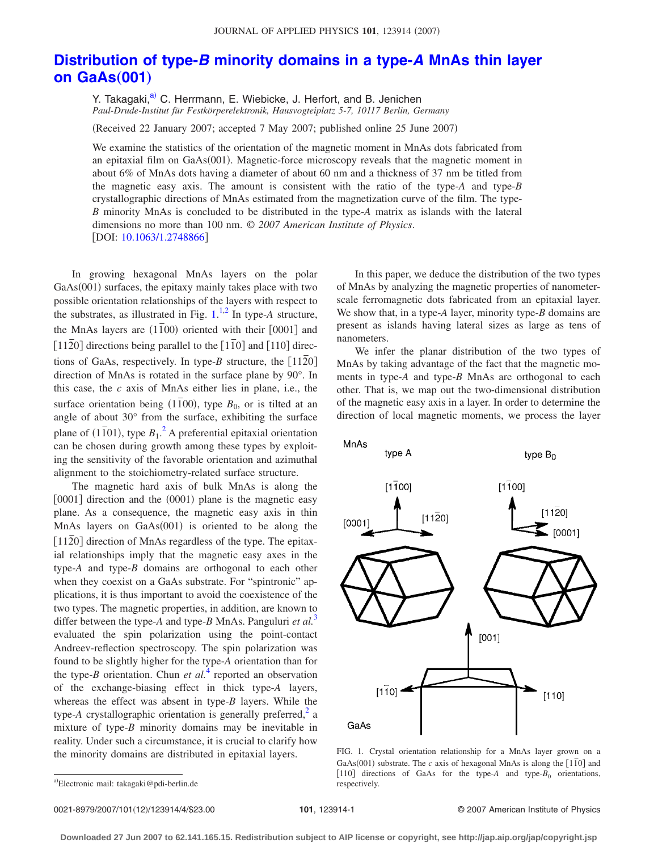## **Distribution of type-***B* **[minority domains in a type-](http://dx.doi.org/10.1063/1.2748866)***A* **MnAs thin layer [on GaAs](http://dx.doi.org/10.1063/1.2748866)(001)**

Y. Takagaki,<sup>a)</sup> C. Herrmann, E. Wiebicke, J. Herfort, and B. Jenichen *Paul-Drude-Institut für Festkörperelektronik, Hausvogteiplatz 5-7, 10117 Berlin, Germany*

Received 22 January 2007; accepted 7 May 2007; published online 25 June 2007-

We examine the statistics of the orientation of the magnetic moment in MnAs dots fabricated from an epitaxial film on GaAs(001). Magnetic-force microscopy reveals that the magnetic moment in about 6% of MnAs dots having a diameter of about 60 nm and a thickness of 37 nm be titled from the magnetic easy axis. The amount is consistent with the ratio of the type-*A* and type-*B* crystallographic directions of MnAs estimated from the magnetization curve of the film. The type-*B* minority MnAs is concluded to be distributed in the type-*A* matrix as islands with the lateral dimensions no more than 100 nm. © *2007 American Institute of Physics*. [DOI: [10.1063/1.2748866](http://dx.doi.org/10.1063/1.2748866)]

In growing hexagonal MnAs layers on the polar GaAs(001) surfaces, the epitaxy mainly takes place with two possible orientation relationships of the layers with respect to the substrates, as illustrated in Fig.  $1^{1,2}$  $1^{1,2}$  $1^{1,2}$  $1^{1,2}$  In type-A structure, the MnAs layers are  $(1\overline{1}00)$  oriented with their  $[0001]$  and  $\left[11\overline{2}0\right]$  directions being parallel to the  $\left[1\overline{1}0\right]$  and  $\left[110\right]$  directions of GaAs, respectively. In type-*B* structure, the  $\lceil 1120 \rceil$ direction of MnAs is rotated in the surface plane by 90°. In this case, the *c* axis of MnAs either lies in plane, i.e., the surface orientation being  $(1\bar{1}00)$ , type  $B_0$ , or is tilted at an angle of about 30° from the surface, exhibiting the surface plane of  $(1\bar{1}01)$ , type  $B_1$ .<sup>[2](#page-3-1)</sup> A preferential epitaxial orientation can be chosen during growth among these types by exploiting the sensitivity of the favorable orientation and azimuthal alignment to the stoichiometry-related surface structure.

The magnetic hard axis of bulk MnAs is along the [0001] direction and the (0001) plane is the magnetic easy plane. As a consequence, the magnetic easy axis in thin MnAs layers on GaAs(001) is oriented to be along the [1120] direction of MnAs regardless of the type. The epitaxial relationships imply that the magnetic easy axes in the type-*A* and type-*B* domains are orthogonal to each other when they coexist on a GaAs substrate. For "spintronic" applications, it is thus important to avoid the coexistence of the two types. The magnetic properties, in addition, are known to differ between the type-*A* and type-*B* MnAs. Panguluri *et al.*[3](#page-3-2) evaluated the spin polarization using the point-contact Andreev-reflection spectroscopy. The spin polarization was found to be slightly higher for the type-*A* orientation than for the type- $B$  orientation. Chun *et al.*<sup>[4](#page-3-3)</sup> reported an observation of the exchange-biasing effect in thick type-*A* layers, whereas the effect was absent in type-*B* layers. While the type-A crystallographic orientation is generally preferred,<sup>2</sup> a mixture of type-*B* minority domains may be inevitable in reality. Under such a circumstance, it is crucial to clarify how the minority domains are distributed in epitaxial layers.

In this paper, we deduce the distribution of the two types of MnAs by analyzing the magnetic properties of nanometerscale ferromagnetic dots fabricated from an epitaxial layer. We show that, in a type-*A* layer, minority type-*B* domains are present as islands having lateral sizes as large as tens of nanometers.

We infer the planar distribution of the two types of MnAs by taking advantage of the fact that the magnetic moments in type-*A* and type-*B* MnAs are orthogonal to each other. That is, we map out the two-dimensional distribution of the magnetic easy axis in a layer. In order to determine the direction of local magnetic moments, we process the layer

<span id="page-0-1"></span>

FIG. 1. Crystal orientation relationship for a MnAs layer grown on a GaAs(001) substrate. The *c* axis of hexagonal MnAs is along the  $[1\overline{1}0]$  and [110] directions of GaAs for the type- $A$  and type- $B_0$  orientations, respectively.

0021-8979/2007/101(12)/123914/4/\$23.00

<span id="page-0-0"></span>a)<br>Electronic mail: takagaki@pdi-berlin.de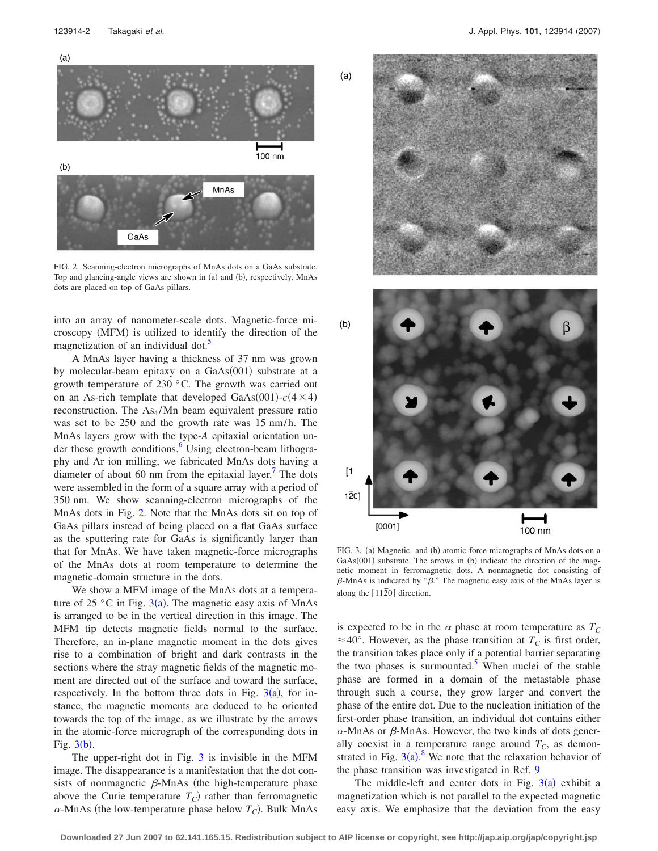<span id="page-1-0"></span>

FIG. 2. Scanning-electron micrographs of MnAs dots on a GaAs substrate. Top and glancing-angle views are shown in (a) and (b), respectively. MnAs dots are placed on top of GaAs pillars.

into an array of nanometer-scale dots. Magnetic-force microscopy (MFM) is utilized to identify the direction of the magnetization of an individual dot.<sup>3</sup>

A MnAs layer having a thickness of 37 nm was grown by molecular-beam epitaxy on a GaAs(001) substrate at a growth temperature of 230 °C. The growth was carried out on an As-rich template that developed  $GaAs(001) - c(4 \times 4)$ reconstruction. The  $As<sub>4</sub>/Mn$  beam equivalent pressure ratio was set to be 250 and the growth rate was 15 nm/h. The MnAs layers grow with the type-*A* epitaxial orientation under these growth conditions.<sup>6</sup> Using electron-beam lithography and Ar ion milling, we fabricated MnAs dots having a diameter of about 60 nm from the epitaxial layer.<sup>7</sup> The dots were assembled in the form of a square array with a period of 350 nm. We show scanning-electron micrographs of the MnAs dots in Fig. [2.](#page-1-0) Note that the MnAs dots sit on top of GaAs pillars instead of being placed on a flat GaAs surface as the sputtering rate for GaAs is significantly larger than that for MnAs. We have taken magnetic-force micrographs of the MnAs dots at room temperature to determine the magnetic-domain structure in the dots.

We show a MFM image of the MnAs dots at a temperature of 25 °C in Fig.  $3(a)$  $3(a)$ . The magnetic easy axis of MnAs is arranged to be in the vertical direction in this image. The MFM tip detects magnetic fields normal to the surface. Therefore, an in-plane magnetic moment in the dots gives rise to a combination of bright and dark contrasts in the sections where the stray magnetic fields of the magnetic moment are directed out of the surface and toward the surface, respectively. In the bottom three dots in Fig.  $3(a)$  $3(a)$ , for instance, the magnetic moments are deduced to be oriented towards the top of the image, as we illustrate by the arrows in the atomic-force micrograph of the corresponding dots in Fig.  $3(b)$  $3(b)$ .

The upper-right dot in Fig. [3](#page-1-1) is invisible in the MFM image. The disappearance is a manifestation that the dot consists of nonmagnetic  $\beta$ -MnAs (the high-temperature phase above the Curie temperature  $T_C$ ) rather than ferromagnetic  $\alpha$ -MnAs (the low-temperature phase below  $T_C$ ). Bulk MnAs

<span id="page-1-1"></span>

FIG. 3. (a) Magnetic- and (b) atomic-force micrographs of MnAs dots on a GaAs(001) substrate. The arrows in (b) indicate the direction of the magnetic moment in ferromagnetic dots. A nonmagnetic dot consisting of  $\beta$ -MnAs is indicated by " $\beta$ ." The magnetic easy axis of the MnAs layer is along the  $\lceil 1120 \rceil$  direction.

is expected to be in the  $\alpha$  phase at room temperature as  $T_C$  $\approx$  40°. However, as the phase transition at  $T_c$  is first order, the transition takes place only if a potential barrier separating the two phases is surmounted. $\delta$  When nuclei of the stable phase are formed in a domain of the metastable phase through such a course, they grow larger and convert the phase of the entire dot. Due to the nucleation initiation of the first-order phase transition, an individual dot contains either  $\alpha$ -MnAs or  $\beta$ -MnAs. However, the two kinds of dots generally coexist in a temperature range around  $T_c$ , as demonstrated in Fig.  $3(a)$  $3(a)$ .<sup>[8](#page-3-7)</sup> We note that the relaxation behavior of the phase transition was investigated in Ref. [9](#page-3-8)

The middle-left and center dots in Fig.  $3(a)$  $3(a)$  exhibit a magnetization which is not parallel to the expected magnetic easy axis. We emphasize that the deviation from the easy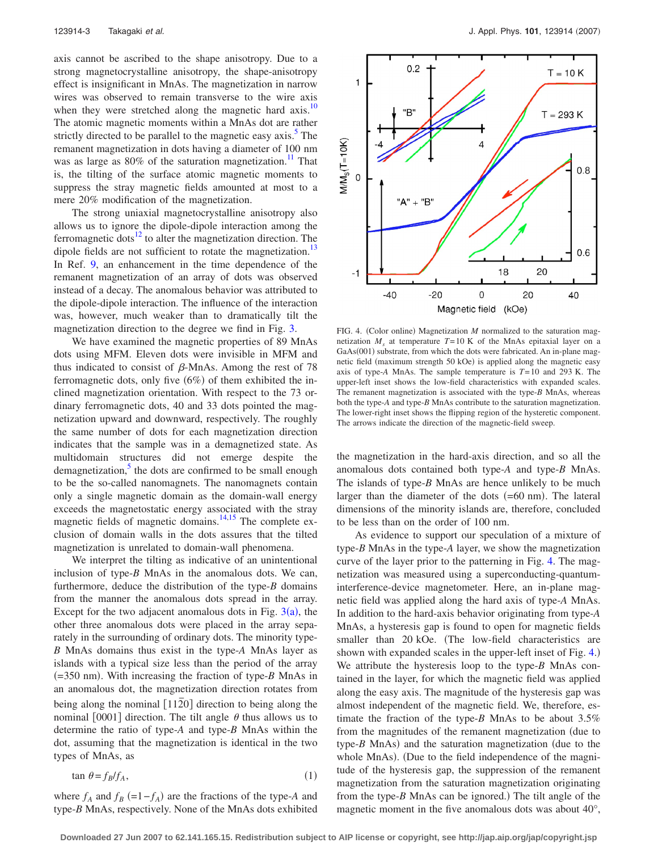axis cannot be ascribed to the shape anisotropy. Due to a strong magnetocrystalline anisotropy, the shape-anisotropy effect is insignificant in MnAs. The magnetization in narrow wires was observed to remain transverse to the wire axis when they were stretched along the magnetic hard axis.<sup>10</sup> The atomic magnetic moments within a MnAs dot are rather strictly directed to be parallel to the magnetic easy axis.<sup>5</sup> The remanent magnetization in dots having a diameter of 100 nm was as large as  $80\%$  of the saturation magnetization.<sup>11</sup> That is, the tilting of the surface atomic magnetic moments to suppress the stray magnetic fields amounted at most to a mere 20% modification of the magnetization.

The strong uniaxial magnetocrystalline anisotropy also allows us to ignore the dipole-dipole interaction among the ferromagnetic dots $^{12}$  to alter the magnetization direction. The dipole fields are not sufficient to rotate the magnetization.<sup>13</sup> In Ref. [9,](#page-3-8) an enhancement in the time dependence of the remanent magnetization of an array of dots was observed instead of a decay. The anomalous behavior was attributed to the dipole-dipole interaction. The influence of the interaction was, however, much weaker than to dramatically tilt the magnetization direction to the degree we find in Fig. [3.](#page-1-1)

We have examined the magnetic properties of 89 MnAs dots using MFM. Eleven dots were invisible in MFM and thus indicated to consist of  $\beta$ -MnAs. Among the rest of 78 ferromagnetic dots, only five  $(6%)$  of them exhibited the inclined magnetization orientation. With respect to the 73 ordinary ferromagnetic dots, 40 and 33 dots pointed the magnetization upward and downward, respectively. The roughly the same number of dots for each magnetization direction indicates that the sample was in a demagnetized state. As multidomain structures did not emerge despite the demagnetization, $\frac{3}{2}$  the dots are confirmed to be small enough to be the so-called nanomagnets. The nanomagnets contain only a single magnetic domain as the domain-wall energy exceeds the magnetostatic energy associated with the stray magnetic fields of magnetic domains. $14,15$  $14,15$  The complete exclusion of domain walls in the dots assures that the tilted magnetization is unrelated to domain-wall phenomena.

We interpret the tilting as indicative of an unintentional inclusion of type-*B* MnAs in the anomalous dots. We can, furthermore, deduce the distribution of the type-*B* domains from the manner the anomalous dots spread in the array. Except for the two adjacent anomalous dots in Fig.  $3(a)$  $3(a)$ , the other three anomalous dots were placed in the array separately in the surrounding of ordinary dots. The minority type-*B* MnAs domains thus exist in the type-*A* MnAs layer as islands with a typical size less than the period of the array  $( = 350 \text{ nm})$ . With increasing the fraction of type-*B* MnAs in an anomalous dot, the magnetization direction rotates from being along the nominal [1120] direction to being along the nominal [0001] direction. The tilt angle  $\theta$  thus allows us to determine the ratio of type-*A* and type-*B* MnAs within the dot, assuming that the magnetization is identical in the two types of MnAs, as

 $\tan \theta = f_B/f_A$ ,  $(1)$ 

where  $f_A$  and  $f_B$  (=1− $f_A$ ) are the fractions of the type-A and type-*B* MnAs, respectively. None of the MnAs dots exhibited

<span id="page-2-0"></span>

FIG. 4. (Color online) Magnetization *M* normalized to the saturation magnetization  $M_s$  at temperature  $T=10$  K of the MnAs epitaxial layer on a GaAs(001) substrate, from which the dots were fabricated. An in-plane magnetic field (maximum strength 50 kOe) is applied along the magnetic easy axis of type-*A* MnAs. The sample temperature is *T*= 10 and 293 K. The upper-left inset shows the low-field characteristics with expanded scales. The remanent magnetization is associated with the type-*B* MnAs, whereas both the type-*A* and type-*B* MnAs contribute to the saturation magnetization. The lower-right inset shows the flipping region of the hysteretic component. The arrows indicate the direction of the magnetic-field sweep.

the magnetization in the hard-axis direction, and so all the anomalous dots contained both type-*A* and type-*B* MnAs. The islands of type-*B* MnAs are hence unlikely to be much larger than the diameter of the dots  $(=60 \text{ nm})$ . The lateral dimensions of the minority islands are, therefore, concluded to be less than on the order of 100 nm.

As evidence to support our speculation of a mixture of type-*B* MnAs in the type-*A* layer, we show the magnetization curve of the layer prior to the patterning in Fig. [4.](#page-2-0) The magnetization was measured using a superconducting-quantuminterference-device magnetometer. Here, an in-plane magnetic field was applied along the hard axis of type-*A* MnAs. In addition to the hard-axis behavior originating from type-*A* MnAs, a hysteresis gap is found to open for magnetic fields smaller than 20 kOe. (The low-field characteristics are shown with expanded scales in the upper-left inset of Fig. [4.](#page-2-0)) We attribute the hysteresis loop to the type-*B* MnAs contained in the layer, for which the magnetic field was applied along the easy axis. The magnitude of the hysteresis gap was almost independent of the magnetic field. We, therefore, estimate the fraction of the type-*B* MnAs to be about 3.5% from the magnitudes of the remanent magnetization (due to type- $B$  MnAs) and the saturation magnetization (due to the whole MnAs). (Due to the field independence of the magnitude of the hysteresis gap, the suppression of the remanent magnetization from the saturation magnetization originating from the type-B MnAs can be ignored.) The tilt angle of the magnetic moment in the five anomalous dots was about 40°,